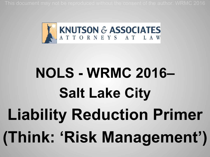

# **NOLS - WRMC 2016– Salt Lake City Liability Reduction Primer (Think: 'Risk Management')**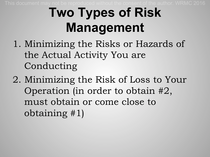## **Two Types of Risk Management**

- 1. Minimizing the Risks or Hazards of the Actual Activity You are Conducting
- 2. Minimizing the Risk of Loss to Your Operation (in order to obtain #2, must obtain or come close to obtaining #1)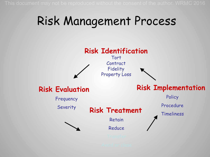#### Risk Management Process

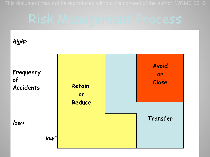#### **high***>*





**Avoid** 

**or** 

**Close** 

**low>**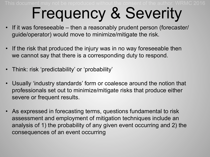# Frequency & Severity

- If it was foreseeable then a reasonably prudent person (forecaster/ guide/operator) would move to minimize/mitigate the risk.
- If the risk that produced the injury was in no way foreseeable then we cannot say that there is a corresponding duty to respond.
- Think: risk 'predictability' or 'probability'
- Usually 'industry standards' form or coalesce around the notion that professionals set out to minimize/mitigate risks that produce either severe or frequent results.
- As expressed in forecasting terms, questions fundamental to risk assessment and employment of mitigation techniques include an analysis of 1) the probability of any given event occurring and 2) the consequences of an event occurring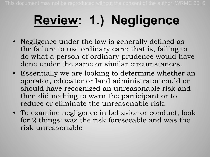## **Review: 1.) Negligence**

- Negligence under the law is generally defined as the failure to use ordinary care; that is, failing to do what a person of ordinary prudence would have done under the same or similar circumstances.
- Essentially we are looking to determine whether an operator, educator or land administrator could or should have recognized an unreasonable risk and then did nothing to warn the participant or to reduce or eliminate the unreasonable risk.
- To examine negligence in behavior or conduct, look for 2 things: was the risk foreseeable and was the risk unreasonable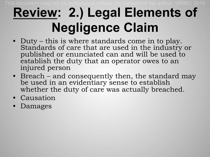## **Review: 2.) Legal Elements of Negligence Claim**

- Duty this is where standards come in to play. Standards of care that are used in the industry or published or enunciated can and will be used to establish the duty that an operator owes to an injured person
- Breach and consequently then, the standard may be used in an evidentiary sense to establish whether the duty of care was actually breached.
- Causation
- Damages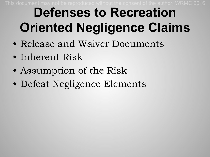## **Defenses to Recreation Oriented Negligence Claims**

- Release and Waiver Documents
- Inherent Risk
- Assumption of the Risk
- Defeat Negligence Elements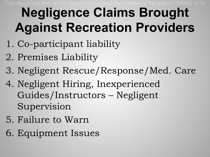## **Negligence Claims Brought Against Recreation Providers**

- 1. Co-participant liability
- 2. Premises Liability
- 3. Negligent Rescue/Response/Med. Care
- 4. Negligent Hiring, Inexperienced Guides/Instructors – Negligent Supervision
- 5. Failure to Warn
- 6. Equipment Issues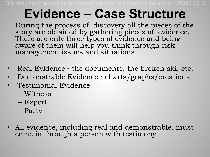#### **Evidence – Case Structure**

During the process of discovery all the pieces of the story are obtained by gathering pieces of evidence. There are only three types of evidence and being aware of them will help you think through risk management issues and situations.

- Real Evidence the documents, the broken ski, etc.
- Demonstrable Evidence ‑ charts/graphs/creations
- Testimonial Evidence ‑
	- Witness
	- Expert
	- Party
- All evidence, including real and demonstrable, must come in through a person with testimony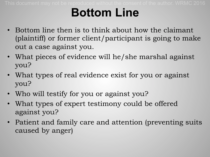#### **Bottom Line**

- Bottom line then is to think about how the claimant (plaintiff) or former client/participant is going to make out a case against you.
- What pieces of evidence will he/she marshal against you?
- What types of real evidence exist for you or against you?
- Who will testify for you or against you?
- What types of expert testimony could be offered against you?
- Patient and family care and attention (preventing suits caused by anger)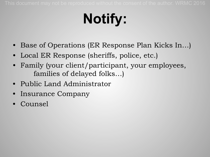## **Notify:**

- Base of Operations (ER Response Plan Kicks In…)
- Local ER Response (sheriffs, police, etc.)
- Family (your client/participant, your employees, families of delayed folks…)
- Public Land Administrator
- Insurance Company
- Counsel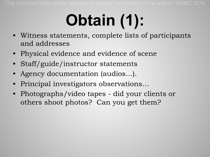# **Obtain (1):**

- Witness statements, complete lists of participants and addresses
- Physical evidence and evidence of scene
- Staff/guide/instructor statements
- Agency documentation (audios…).
- Principal investigators observations…
- Photographs/video tapes did your clients or others shoot photos? Can you get them?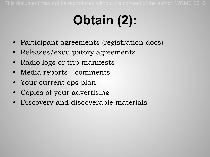## **Obtain (2):**

- Participant agreements (registration docs)
- Releases/exculpatory agreements
- Radio logs or trip manifests
- Media reports comments
- Your current ops plan
- Copies of your advertising
- Discovery and discoverable materials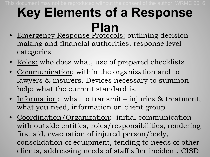### **Key Elements of a Response Plan**

- Emergency Response Protocols: outlining decisionmaking and financial authorities, response level categories
- Roles: who does what, use of prepared checklists
- Communication: within the organization and to lawyers & insurers. Devices necessary to summon help: what the current standard is.
- Information: what to transmit injuries & treatment, what you need, information on client group
- Coordination/Organization: initial communication with outside entities, roles/responsibilities, rendering first aid, evacuation of injured person/body, consolidation of equipment, tending to needs of other clients, addressing needs of staff after incident, CISD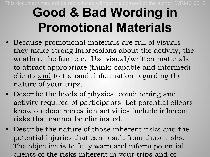## **Good & Bad Wording in Promotional Materials**

- Because promotional materials are full of visuals they make strong impressions about the activity, the weather, the fun, etc. Use visual/written materials to attract appropriate (think: capable and informed) clients and to transmit information regarding the nature of your trips. **Promotional Materials**<br> **Promotional Materials**<br> **Promotional Materials**<br> **Promotional materials**<br> **Promotional materials**<br>
the weather, the fun, etc. Use visual/written materials<br>
to attract appropriate (think: capable a
- Describe the levels of physical conditioning and activity required of participants. Let potential clients know outdoor recreation activities include inherent risks that cannot be eliminated.
- Describe the nature of those inherent risks and the potential injuries that can result from those risks. The objective is to fully warn and inform potential clients of the risks inherent in your trips and of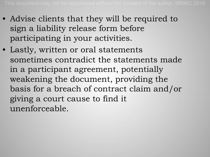- Advise clients that they will be required to sign a liability release form before participating in your activities.
- Lastly, written or oral statements sometimes contradict the statements made in a participant agreement, potentially weakening the document, providing the basis for a breach of contract claim and/or giving a court cause to find it unenforceable.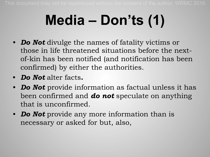## **Media – Don'ts (1)**

- *Do Not* divulge the names of fatality victims or those in life threatened situations before the nextof-kin has been notified (and notification has been confirmed) by either the authorities.
- *Do Not* alter facts**.**
- *Do Not* provide information as factual unless it has been confirmed and *do not* speculate on anything that is unconfirmed.
- *Do Not* provide any more information than is necessary or asked for but, also,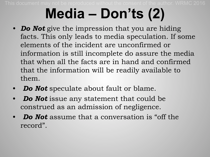## **Media – Don'ts (2)**

- *Do Not* give the impression that you are hiding facts. This only leads to media speculation. If some elements of the incident are unconfirmed or information is still incomplete do assure the media that when all the facts are in hand and confirmed that the information will be readily available to them.
- *Do Not* speculate about fault or blame.
- *Do Not* issue any statement that could be construed as an admission of negligence.
- *Do Not* assume that a conversation is "off the record".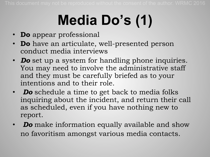## **Media Do's (1)**

- **Do** appear professional
- **Do** have an articulate, well-presented person conduct media interviews
- *Do* set up a system for handling phone inquiries. You may need to involve the administrative staff and they must be carefully briefed as to your intentions and to their role.
- *Do* schedule a time to get back to media folks inquiring about the incident, and return their call as scheduled, even if you have nothing new to report.
- *Do* make information equally available and show no favoritism amongst various media contacts.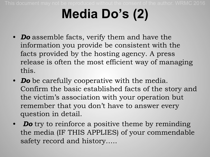## **Media Do's (2)**

- *Do* assemble facts, verify them and have the information you provide be consistent with the facts provided by the hosting agency. A press release is often the most efficient way of managing this.
- *Do* be carefully cooperative with the media. Confirm the basic established facts of the story and the victim's association with your operation but remember that you don't have to answer every question in detail.
- *Do* try to reinforce a positive theme by reminding the media (IF THIS APPLIES) of your commendable safety record and history…..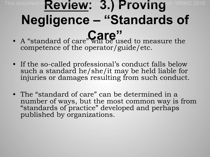## This document many evicew: Just of the **roving** or WRMC 2016 **Negligence – "Standards of**

- Care"<sup></sup> • A "standard of care" will be used to measure the competence of the operator/guide/etc.
- If the so-called professional's conduct falls below such a standard he/she/it may be held liable for injuries or damages resulting from such conduct.
- The "standard of care" can be determined in a number of ways, but the most common way is from "standards of practice" developed and perhaps published by organizations.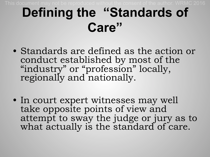## **Defining the "Standards of Care"**

- Standards are defined as the action or conduct established by most of the "industry" or "profession" locally, regionally and nationally.
- In court expert witnesses may well take opposite points of view and attempt to sway the judge or jury as to what actually is the standard of care.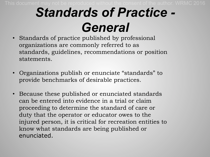## *Standards of Practice -*  **General** • Standards of practice published by professional

- organizations are commonly referred to as standards, guidelines, recommendations or position statements.
- Organizations publish or enunciate "standards" to provide benchmarks of desirable practices.
- Because these published or enunciated standards can be entered into evidence in a trial or claim proceeding to determine the standard of care or duty that the operator or educator owes to the injured person, it is critical for recreation entities to know what standards are being published or enunciated.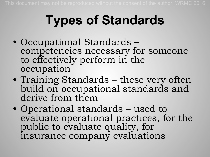## **Types of Standards**

- Occupational Standards competencies necessary for someone to effectively perform in the occupation
- Training Standards these very often build on occupational standards and derive from them
- Operational standards used to evaluate operational practices, for the public to evaluate quality, for insurance company evaluations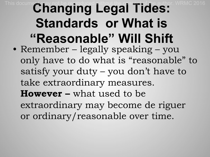This document with the consent may not be reproduced with many independent many the author. WRMC 2016 **Standards or What is "Reasonable" Will Shift**  • Remember – legally speaking – you only have to do what is "reasonable" to satisfy your duty – you don't have to take extraordinary measures. **However –** what used to be extraordinary may become de riguer or ordinary/reasonable over time.